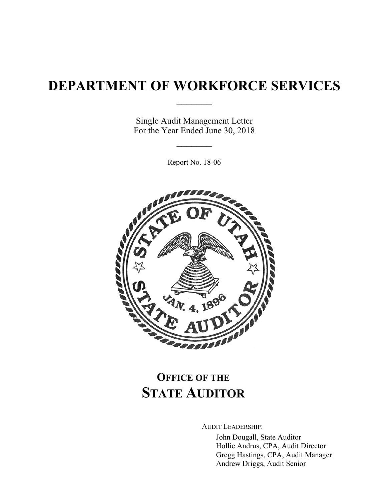# **DEPARTMENT OF WORKFORCE SERVICES**

 $\frac{1}{2}$ 

Single Audit Management Letter For the Year Ended June 30, 2018

 $\frac{1}{2}$ 

Report No. 18-06



# **OFFICE OF THE STATE AUDITOR**

AUDIT LEADERSHIP:

John Dougall, State Auditor Hollie Andrus, CPA, Audit Director Gregg Hastings, CPA, Audit Manager Andrew Driggs, Audit Senior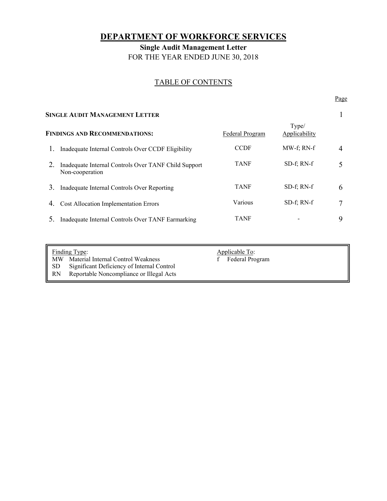# **DEPARTMENT OF WORKFORCE SERVICES**

**Single Audit Management Letter**  FOR THE YEAR ENDED JUNE 30, 2018

# TABLE OF CONTENTS

Page **Page** 

| <b>SINGLE AUDIT MANAGEMENT LETTER</b> |                                                                         |                 |                        |   |
|---------------------------------------|-------------------------------------------------------------------------|-----------------|------------------------|---|
|                                       | <b>FINDINGS AND RECOMMENDATIONS:</b>                                    | Federal Program | Type/<br>Applicability |   |
|                                       | Inadequate Internal Controls Over CCDF Eligibility                      | <b>CCDF</b>     | MW-f: RN-f             |   |
|                                       | Inadequate Internal Controls Over TANF Child Support<br>Non-cooperation | <b>TANF</b>     | $SD-f: RN-f$           |   |
| 3.                                    | Inadequate Internal Controls Over Reporting                             | <b>TANF</b>     | $SD-f: RN-f$           | 6 |
| 4.                                    | <b>Cost Allocation Implementation Errors</b>                            | Various         | $SD-f$ ; RN- $f$       |   |
|                                       | Inadequate Internal Controls Over TANF Earmarking                       | TANF            |                        | Q |

| <b>Finding Type:</b> |                                            | Applicable To:  |
|----------------------|--------------------------------------------|-----------------|
| MW.                  | Material Internal Control Weakness         | Federal Program |
| SD.                  | Significant Deficiency of Internal Control |                 |
| <b>RN</b>            | Reportable Noncompliance or Illegal Acts   |                 |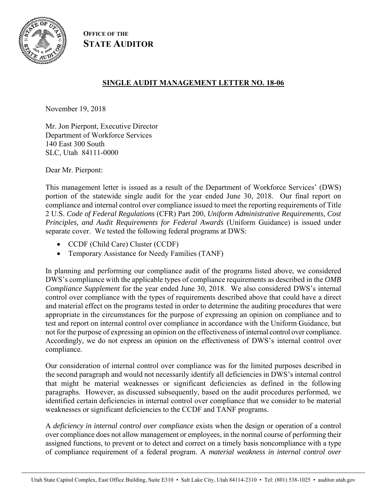

**OFFICE OF THE STATE AUDITOR**

# **SINGLE AUDIT MANAGEMENT LETTER NO. 18-06**

November 19, 2018

Mr. Jon Pierpont, Executive Director Department of Workforce Services 140 East 300 South SLC, Utah 84111-0000

Dear Mr. Pierpont:

This management letter is issued as a result of the Department of Workforce Services' (DWS) portion of the statewide single audit for the year ended June 30, 2018. Our final report on compliance and internal control over compliance issued to meet the reporting requirements of Title 2 U.S. *Code of Federal Regulations* (CFR) Part 200, *Uniform Administrative Requirements, Cost Principles, and Audit Requirements for Federal Awards* (Uniform Guidance) is issued under separate cover. We tested the following federal programs at DWS:

- CCDF (Child Care) Cluster (CCDF)
- Temporary Assistance for Needy Families (TANF)

In planning and performing our compliance audit of the programs listed above, we considered DWS's compliance with the applicable types of compliance requirements as described in the *OMB Compliance Supplement* for the year ended June 30, 2018. We also considered DWS's internal control over compliance with the types of requirements described above that could have a direct and material effect on the programs tested in order to determine the auditing procedures that were appropriate in the circumstances for the purpose of expressing an opinion on compliance and to test and report on internal control over compliance in accordance with the Uniform Guidance, but not for the purpose of expressing an opinion on the effectiveness of internal control over compliance. Accordingly, we do not express an opinion on the effectiveness of DWS's internal control over compliance.

Our consideration of internal control over compliance was for the limited purposes described in the second paragraph and would not necessarily identify all deficiencies in DWS's internal control that might be material weaknesses or significant deficiencies as defined in the following paragraphs. However, as discussed subsequently, based on the audit procedures performed, we identified certain deficiencies in internal control over compliance that we consider to be material weaknesses or significant deficiencies to the CCDF and TANF programs.

A *deficiency in internal control over compliance* exists when the design or operation of a control over compliance does not allow management or employees, in the normal course of performing their assigned functions, to prevent or to detect and correct on a timely basis noncompliance with a type of compliance requirement of a federal program. A *material weakness in internal control over*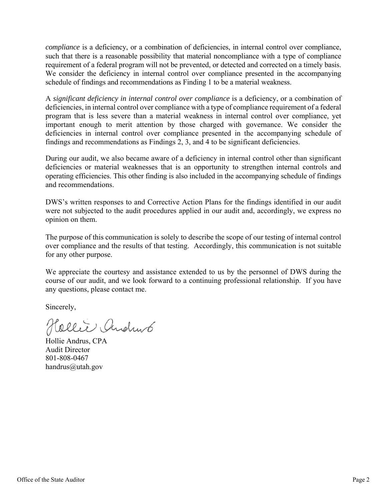*compliance* is a deficiency, or a combination of deficiencies, in internal control over compliance, such that there is a reasonable possibility that material noncompliance with a type of compliance requirement of a federal program will not be prevented, or detected and corrected on a timely basis. We consider the deficiency in internal control over compliance presented in the accompanying schedule of findings and recommendations as Finding 1 to be a material weakness.

A *significant deficiency in internal control over compliance* is a deficiency, or a combination of deficiencies, in internal control over compliance with a type of compliance requirement of a federal program that is less severe than a material weakness in internal control over compliance, yet important enough to merit attention by those charged with governance. We consider the deficiencies in internal control over compliance presented in the accompanying schedule of findings and recommendations as Findings 2, 3, and 4 to be significant deficiencies.

During our audit, we also became aware of a deficiency in internal control other than significant deficiencies or material weaknesses that is an opportunity to strengthen internal controls and operating efficiencies. This other finding is also included in the accompanying schedule of findings and recommendations.

DWS's written responses to and Corrective Action Plans for the findings identified in our audit were not subjected to the audit procedures applied in our audit and, accordingly, we express no opinion on them.

The purpose of this communication is solely to describe the scope of our testing of internal control over compliance and the results of that testing. Accordingly, this communication is not suitable for any other purpose.

We appreciate the courtesy and assistance extended to us by the personnel of DWS during the course of our audit, and we look forward to a continuing professional relationship. If you have any questions, please contact me.

Sincerely,

Hellie Andrus

Hollie Andrus, CPA Audit Director 801-808-0467 handrus@utah.gov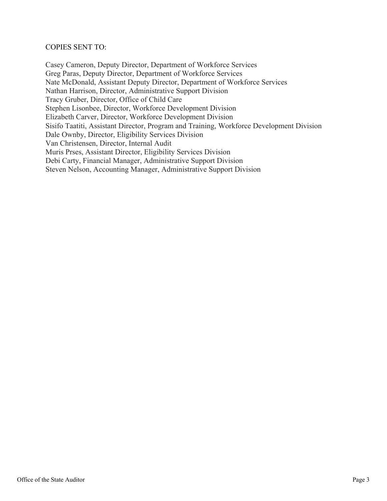### COPIES SENT TO:

Casey Cameron, Deputy Director, Department of Workforce Services Greg Paras, Deputy Director, Department of Workforce Services Nate McDonald, Assistant Deputy Director, Department of Workforce Services Nathan Harrison, Director, Administrative Support Division Tracy Gruber, Director, Office of Child Care Stephen Lisonbee, Director, Workforce Development Division Elizabeth Carver, Director, Workforce Development Division Sisifo Taatiti, Assistant Director, Program and Training, Workforce Development Division Dale Ownby, Director, Eligibility Services Division Van Christensen, Director, Internal Audit Muris Prses, Assistant Director, Eligibility Services Division Debi Carty, Financial Manager, Administrative Support Division Steven Nelson, Accounting Manager, Administrative Support Division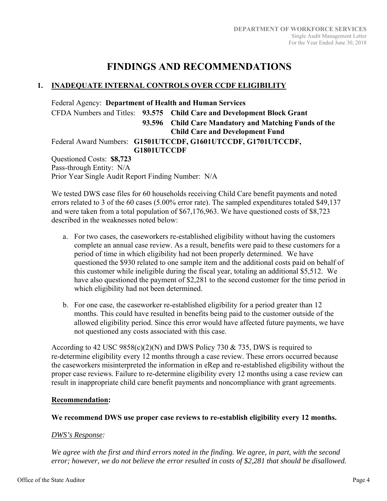# **FINDINGS AND RECOMMENDATIONS**

# **1. INADEQUATE INTERNAL CONTROLS OVER CCDF ELIGIBILITY**

Federal Agency: **Department of Health and Human Services**  CFDA Numbers and Titles: **93.575 Child Care and Development Block Grant 93.596 Child Care Mandatory and Matching Funds of the Child Care and Development Fund**  Federal Award Numbers: **G1501UTCCDF, G1601UTCCDF, G1701UTCCDF, G1801UTCCDF**  Questioned Costs: **\$8,723**

Pass-through Entity: N/A Prior Year Single Audit Report Finding Number: N/A

We tested DWS case files for 60 households receiving Child Care benefit payments and noted errors related to 3 of the 60 cases (5.00% error rate). The sampled expenditures totaled \$49,137 and were taken from a total population of \$67,176,963. We have questioned costs of \$8,723 described in the weaknesses noted below:

- a. For two cases, the caseworkers re-established eligibility without having the customers complete an annual case review. As a result, benefits were paid to these customers for a period of time in which eligibility had not been properly determined. We have questioned the \$930 related to one sample item and the additional costs paid on behalf of this customer while ineligible during the fiscal year, totaling an additional \$5,512. We have also questioned the payment of \$2,281 to the second customer for the time period in which eligibility had not been determined.
- b. For one case, the caseworker re-established eligibility for a period greater than 12 months. This could have resulted in benefits being paid to the customer outside of the allowed eligibility period. Since this error would have affected future payments, we have not questioned any costs associated with this case.

According to 42 USC  $9858(c)(2)(N)$  and DWS Policy 730 & 735, DWS is required to re-determine eligibility every 12 months through a case review. These errors occurred because the caseworkers misinterpreted the information in eRep and re-established eligibility without the proper case reviews. Failure to re-determine eligibility every 12 months using a case review can result in inappropriate child care benefit payments and noncompliance with grant agreements.

# **Recommendation:**

# **We recommend DWS use proper case reviews to re-establish eligibility every 12 months.**

# *DWS's Response:*

*We agree with the first and third errors noted in the finding. We agree, in part, with the second error; however, we do not believe the error resulted in costs of \$2,281 that should be disallowed.*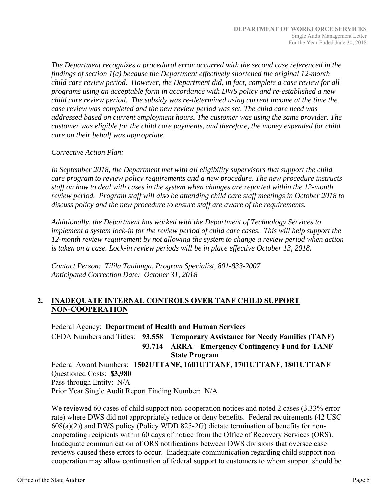*The Department recognizes a procedural error occurred with the second case referenced in the findings of section 1(a) because the Department effectively shortened the original 12-month child care review period. However, the Department did, in fact, complete a case review for all programs using an acceptable form in accordance with DWS policy and re-established a new child care review period. The subsidy was re-determined using current income at the time the case review was completed and the new review period was set. The child care need was addressed based on current employment hours. The customer was using the same provider. The customer was eligible for the child care payments, and therefore, the money expended for child care on their behalf was appropriate.* 

## *Corrective Action Plan:*

*In September 2018, the Department met with all eligibility supervisors that support the child care program to review policy requirements and a new procedure. The new procedure instructs staff on how to deal with cases in the system when changes are reported within the 12-month review period. Program staff will also be attending child care staff meetings in October 2018 to discuss policy and the new procedure to ensure staff are aware of the requirements.* 

*Additionally, the Department has worked with the Department of Technology Services to implement a system lock-in for the review period of child care cases. This will help support the 12-month review requirement by not allowing the system to change a review period when action is taken on a case. Lock-in review periods will be in place effective October 13, 2018.* 

*Contact Person: Tilila Taulanga, Program Specialist, 801-833-2007 Anticipated Correction Date: October 31, 2018*

# **2. INADEQUATE INTERNAL CONTROLS OVER TANF CHILD SUPPORT NON-COOPERATION**

Federal Agency: **Department of Health and Human Services**  CFDA Numbers and Titles: **93.558 Temporary Assistance for Needy Families (TANF) 93.714 ARRA – Emergency Contingency Fund for TANF State Program**  Federal Award Numbers: **1502UTTANF, 1601UTTANF, 1701UTTANF, 1801UTTANF**  Questioned Costs: **\$3,980**

Pass-through Entity: N/A Prior Year Single Audit Report Finding Number: N/A

We reviewed 60 cases of child support non-cooperation notices and noted 2 cases (3.33% error rate) where DWS did not appropriately reduce or deny benefits. Federal requirements (42 USC 608(a)(2)) and DWS policy (Policy WDD 825-2G) dictate termination of benefits for noncooperating recipients within 60 days of notice from the Office of Recovery Services (ORS). Inadequate communication of ORS notifications between DWS divisions that oversee case reviews caused these errors to occur. Inadequate communication regarding child support noncooperation may allow continuation of federal support to customers to whom support should be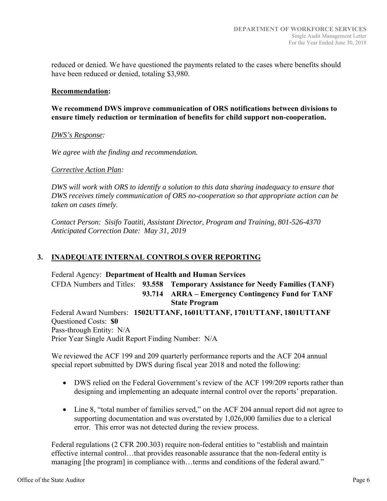reduced or denied. We have questioned the payments related to the cases where benefits should have been reduced or denied, totaling \$3,980.

#### **Recommendation:**

**We recommend DWS improve communication of ORS notifications between divisions to ensure timely reduction or termination of benefits for child support non-cooperation.** 

#### *DWS's Response:*

*We agree with the finding and recommendation.* 

#### *Corrective Action Plan:*

*DWS will work with ORS to identify a solution to this data sharing inadequacy to ensure that DWS receives timely communication of ORS no-cooperation so that appropriate action can be taken on cases timely.* 

*Contact Person: Sisifo Taatiti, Assistant Director, Program and Training, 801-526-4370 Anticipated Correction Date: May 31, 2019*

# **3. INADEQUATE INTERNAL CONTROLS OVER REPORTING**

Federal Agency: **Department of Health and Human Services**  CFDA Numbers and Titles: **93.558 Temporary Assistance for Needy Families (TANF) 93.714 ARRA – Emergency Contingency Fund for TANF State Program**  Federal Award Numbers: **1502UTTANF, 1601UTTANF, 1701UTTANF, 1801UTTANF**  Questioned Costs: **\$0** Pass-through Entity: N/A Prior Year Single Audit Report Finding Number: N/A

We reviewed the ACF 199 and 209 quarterly performance reports and the ACF 204 annual special report submitted by DWS during fiscal year 2018 and noted the following:

- DWS relied on the Federal Government's review of the ACF 199/209 reports rather than designing and implementing an adequate internal control over the reports' preparation.
- Line 8, "total number of families served," on the ACF 204 annual report did not agree to supporting documentation and was overstated by 1,026,000 families due to a clerical error. This error was not detected during the review process.

Federal regulations (2 CFR 200.303) require non-federal entities to "establish and maintain effective internal control…that provides reasonable assurance that the non-federal entity is managing [the program] in compliance with...terms and conditions of the federal award."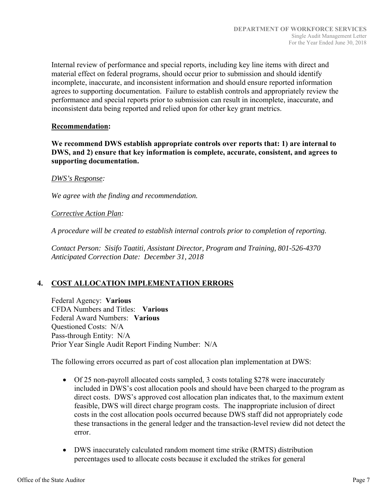Internal review of performance and special reports, including key line items with direct and material effect on federal programs, should occur prior to submission and should identify incomplete, inaccurate, and inconsistent information and should ensure reported information agrees to supporting documentation. Failure to establish controls and appropriately review the performance and special reports prior to submission can result in incomplete, inaccurate, and inconsistent data being reported and relied upon for other key grant metrics.

#### **Recommendation:**

**We recommend DWS establish appropriate controls over reports that: 1) are internal to DWS, and 2) ensure that key information is complete, accurate, consistent, and agrees to supporting documentation.** 

#### *DWS's Response:*

*We agree with the finding and recommendation.* 

#### *Corrective Action Plan:*

*A procedure will be created to establish internal controls prior to completion of reporting.* 

*Contact Person: Sisifo Taatiti, Assistant Director, Program and Training, 801-526-4370 Anticipated Correction Date: December 31, 2018*

# **4. COST ALLOCATION IMPLEMENTATION ERRORS**

Federal Agency: **Various**  CFDA Numbers and Titles: **Various**  Federal Award Numbers: **Various**  Questioned Costs: N/A Pass-through Entity: N/A Prior Year Single Audit Report Finding Number: N/A

The following errors occurred as part of cost allocation plan implementation at DWS:

- Of 25 non-payroll allocated costs sampled, 3 costs totaling \$278 were inaccurately included in DWS's cost allocation pools and should have been charged to the program as direct costs. DWS's approved cost allocation plan indicates that, to the maximum extent feasible, DWS will direct charge program costs. The inappropriate inclusion of direct costs in the cost allocation pools occurred because DWS staff did not appropriately code these transactions in the general ledger and the transaction-level review did not detect the error.
- DWS inaccurately calculated random moment time strike (RMTS) distribution percentages used to allocate costs because it excluded the strikes for general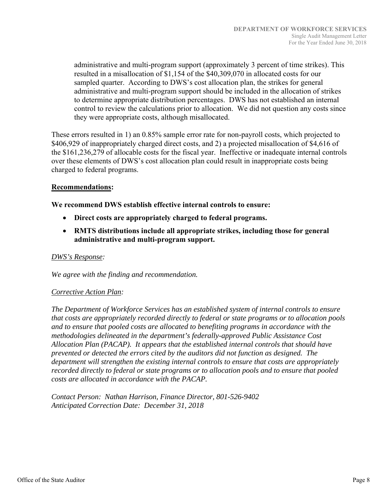administrative and multi-program support (approximately 3 percent of time strikes). This resulted in a misallocation of \$1,154 of the \$40,309,070 in allocated costs for our sampled quarter. According to DWS's cost allocation plan, the strikes for general administrative and multi-program support should be included in the allocation of strikes to determine appropriate distribution percentages. DWS has not established an internal control to review the calculations prior to allocation. We did not question any costs since they were appropriate costs, although misallocated.

These errors resulted in 1) an 0.85% sample error rate for non-payroll costs, which projected to \$406,929 of inappropriately charged direct costs, and 2) a projected misallocation of \$4,616 of the \$161,236,279 of allocable costs for the fiscal year. Ineffective or inadequate internal controls over these elements of DWS's cost allocation plan could result in inappropriate costs being charged to federal programs.

#### **Recommendations:**

**We recommend DWS establish effective internal controls to ensure:** 

- **Direct costs are appropriately charged to federal programs.**
- **RMTS distributions include all appropriate strikes, including those for general administrative and multi-program support.**

#### *DWS's Response:*

*We agree with the finding and recommendation.* 

#### *Corrective Action Plan:*

*The Department of Workforce Services has an established system of internal controls to ensure that costs are appropriately recorded directly to federal or state programs or to allocation pools and to ensure that pooled costs are allocated to benefiting programs in accordance with the methodologies delineated in the department's federally-approved Public Assistance Cost Allocation Plan (PACAP). It appears that the established internal controls that should have prevented or detected the errors cited by the auditors did not function as designed. The department will strengthen the existing internal controls to ensure that costs are appropriately recorded directly to federal or state programs or to allocation pools and to ensure that pooled costs are allocated in accordance with the PACAP.* 

*Contact Person: Nathan Harrison, Finance Director, 801-526-9402 Anticipated Correction Date: December 31, 2018*